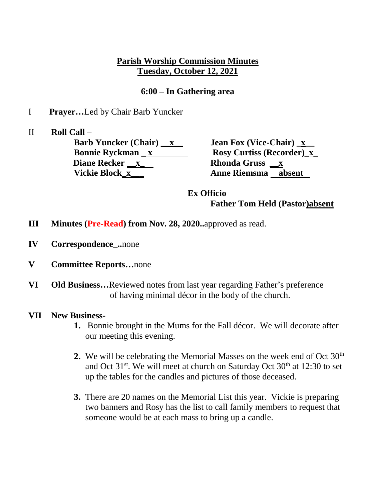## **Parish Worship Commission Minutes Tuesday, October 12, 2021**

## **6:00 – In Gathering area**

- I **Prayer…**Led by Chair Barb Yuncker
- II **Roll Call –**

**Barb Yuncker (Chair)** \_\_x\_\_\_\_\_\_\_\_\_\_\_ **Jean Fox (Vice-Chair)** \_x\_\_ **Bonnie Ryckman \_ x \_ \_ \_ \_ Rosy Curtiss (Recorder) x\_ Diane Recker \_\_x\_ Rhonda Gruss \_\_x Vickie Block\_x\_\_\_ Anne Riemsma absent** 

**Ex Officio Father Tom Held (Pastor)absent** 

- **III Minutes (Pre-Read) from Nov. 28, 2020..**approved as read.
- **IV Correspondence\_..**none
- **V Committee Reports…**none
- **VI Old Business…**Reviewed notes from last year regarding Father's preference of having minimal décor in the body of the church.
- **VII New Business-**
	- **1.** Bonnie brought in the Mums for the Fall décor. We will decorate after our meeting this evening.
	- **2.** We will be celebrating the Memorial Masses on the week end of Oct 30<sup>th</sup> and Oct  $31^{st}$ . We will meet at church on Saturday Oct  $30^{th}$  at 12:30 to set up the tables for the candles and pictures of those deceased.
	- **3.** There are 20 names on the Memorial List this year. Vickie is preparing two banners and Rosy has the list to call family members to request that someone would be at each mass to bring up a candle.